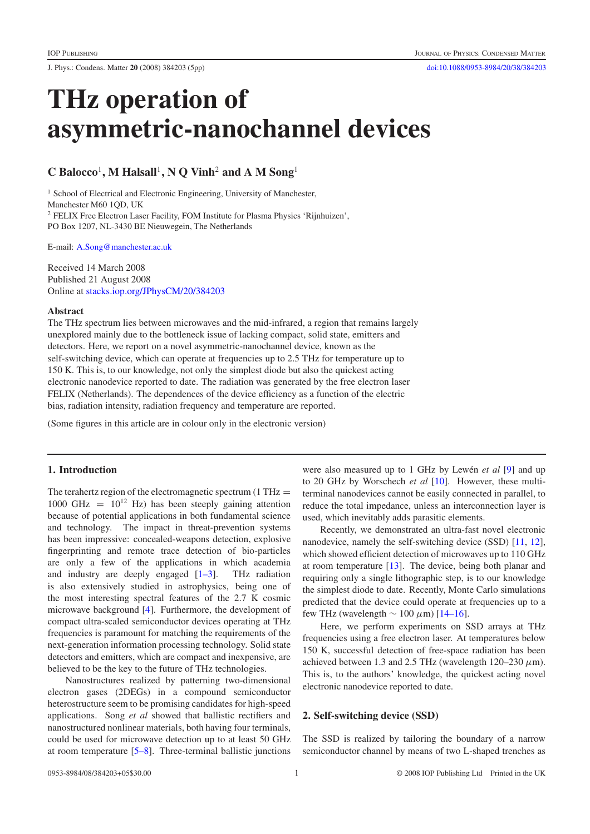J. Phys.: Condens. Matter **20** (2008) 384203 (5pp) [doi:10.1088/0953-8984/20/38/384203](http://dx.doi.org/10.1088/0953-8984/20/38/384203)

# **THz operation of asymmetric-nanochannel devices**

# **C Balocco**<sup>1</sup>**, M Halsall**<sup>1</sup>**, N Q Vinh**<sup>2</sup> **and A M Song**<sup>1</sup>

<sup>1</sup> School of Electrical and Electronic Engineering, University of Manchester, Manchester M60 1QD, UK <sup>2</sup> FELIX Free Electron Laser Facility, FOM Institute for Plasma Physics 'Rijnhuizen', PO Box 1207, NL-3430 BE Nieuwegein, The Netherlands

E-mail: [A.Song@manchester.ac.uk](mailto:A.Song@manchester.ac.uk)

Received 14 March 2008 Published 21 August 2008 Online at [stacks.iop.org/JPhysCM/20/384203](http://stacks.iop.org/JPhysCM/20/384203)

#### **Abstract**

The THz spectrum lies between microwaves and the mid-infrared, a region that remains largely unexplored mainly due to the bottleneck issue of lacking compact, solid state, emitters and detectors. Here, we report on a novel asymmetric-nanochannel device, known as the self-switching device, which can operate at frequencies up to 2.5 THz for temperature up to 150 K. This is, to our knowledge, not only the simplest diode but also the quickest acting electronic nanodevice reported to date. The radiation was generated by the free electron laser FELIX (Netherlands). The dependences of the device efficiency as a function of the electric bias, radiation intensity, radiation frequency and temperature are reported.

(Some figures in this article are in colour only in the electronic version)

# **1. Introduction**

The terahertz region of the electromagnetic spectrum  $(1 THz =$ 1000 GHz =  $10^{12}$  Hz) has been steeply gaining attention because of potential applications in both fundamental science and technology. The impact in threat-prevention systems has been impressive: concealed-weapons detection, explosive fingerprinting and remote trace detection of bio-particles are only a few of the applications in which academia and industry are deeply engaged  $[1-3]$ . THz radiation is also extensively studied in astrophysics, being one of the most interesting spectral features of the 2.7 K cosmic microwave background [\[4\]](#page-4-1). Furthermore, the development of compact ultra-scaled semiconductor devices operating at THz frequencies is paramount for matching the requirements of the next-generation information processing technology. Solid state detectors and emitters, which are compact and inexpensive, are believed to be the key to the future of THz technologies.

Nanostructures realized by patterning two-dimensional electron gases (2DEGs) in a compound semiconductor heterostructure seem to be promising candidates for high-speed applications. Song *et al* showed that ballistic rectifiers and nanostructured nonlinear materials, both having four terminals, could be used for microwave detection up to at least 50 GHz at room temperature [\[5–8\]](#page-4-2). Three-terminal ballistic junctions

were also measured up to 1 GHz by Lewén *et al* [\[9\]](#page-4-3) and up to 20 GHz by Worschech *et al* [\[10\]](#page-4-4). However, these multiterminal nanodevices cannot be easily connected in parallel, to reduce the total impedance, unless an interconnection layer is used, which inevitably adds parasitic elements.

Recently, we demonstrated an ultra-fast novel electronic nanodevice, namely the self-switching device (SSD) [\[11,](#page-4-5) [12\]](#page-4-6), which showed efficient detection of microwaves up to 110 GHz at room temperature [\[13\]](#page-4-7). The device, being both planar and requiring only a single lithographic step, is to our knowledge the simplest diode to date. Recently, Monte Carlo simulations predicted that the device could operate at frequencies up to a few THz (wavelength  $\sim 100 \ \mu m$ ) [\[14–16\]](#page-4-8).

Here, we perform experiments on SSD arrays at THz frequencies using a free electron laser. At temperatures below 150 K, successful detection of free-space radiation has been achieved between 1.3 and 2.5 THz (wavelength  $120-230 \ \mu m$ ). This is, to the authors' knowledge, the quickest acting novel electronic nanodevice reported to date.

#### **2. Self-switching device (SSD)**

The SSD is realized by tailoring the boundary of a narrow semiconductor channel by means of two L-shaped trenches as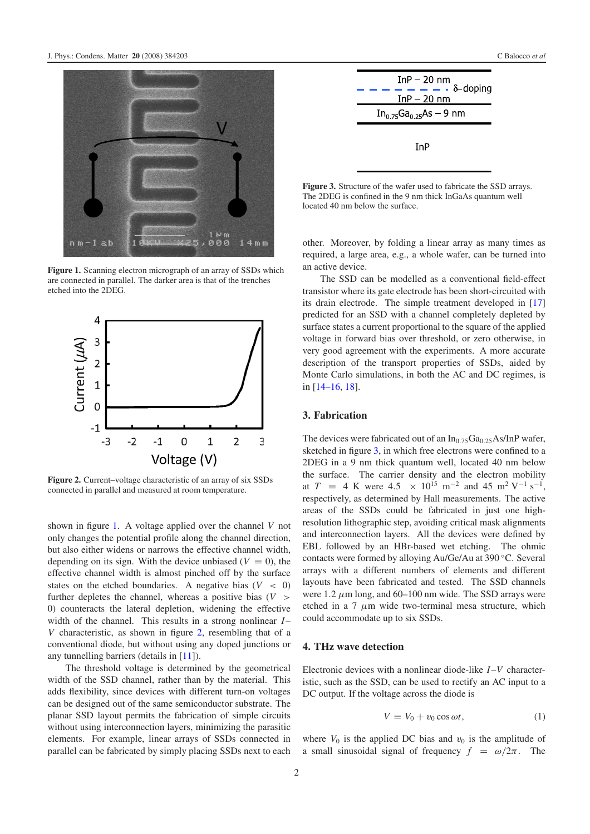<span id="page-1-0"></span>

**Figure 1.** Scanning electron micrograph of an array of SSDs which are connected in parallel. The darker area is that of the trenches etched into the 2DEG.

<span id="page-1-1"></span>

**Figure 2.** Current–voltage characteristic of an array of six SSDs connected in parallel and measured at room temperature.

shown in figure [1.](#page-1-0) A voltage applied over the channel *V* not only changes the potential profile along the channel direction, but also either widens or narrows the effective channel width, depending on its sign. With the device unbiased  $(V = 0)$ , the effective channel width is almost pinched off by the surface states on the etched boundaries. A negative bias  $(V < 0)$ further depletes the channel, whereas a positive bias  $(V >$ 0) counteracts the lateral depletion, widening the effective width of the channel. This results in a strong nonlinear *I*-*V* characteristic, as shown in figure [2,](#page-1-1) resembling that of a conventional diode, but without using any doped junctions or any tunnelling barriers (details in [\[11\]](#page-4-5)).

The threshold voltage is determined by the geometrical width of the SSD channel, rather than by the material. This adds flexibility, since devices with different turn-on voltages can be designed out of the same semiconductor substrate. The planar SSD layout permits the fabrication of simple circuits without using interconnection layers, minimizing the parasitic elements. For example, linear arrays of SSDs connected in parallel can be fabricated by simply placing SSDs next to each

<span id="page-1-2"></span>

**Figure 3.** Structure of the wafer used to fabricate the SSD arrays. The 2DEG is confined in the 9 nm thick InGaAs quantum well located 40 nm below the surface.

other. Moreover, by folding a linear array as many times as required, a large area, e.g., a whole wafer, can be turned into an active device.

The SSD can be modelled as a conventional field-effect transistor where its gate electrode has been short-circuited with its drain electrode. The simple treatment developed in [\[17\]](#page-4-9) predicted for an SSD with a channel completely depleted by surface states a current proportional to the square of the applied voltage in forward bias over threshold, or zero otherwise, in very good agreement with the experiments. A more accurate description of the transport properties of SSDs, aided by Monte Carlo simulations, in both the AC and DC regimes, is in [\[14–16,](#page-4-8) [18\]](#page-4-10).

## **3. Fabrication**

The devices were fabricated out of an  $In_{0.75}Ga_{0.25}As/InP$  wafer, sketched in figure [3,](#page-1-2) in which free electrons were confined to a 2DEG in a 9 nm thick quantum well, located 40 nm below the surface. The carrier density and the electron mobility at *T* = 4 K were 4.5 × 10<sup>15</sup> m<sup>-2</sup> and 45 m<sup>2</sup> V<sup>-1</sup> s<sup>-1</sup>, respectively, as determined by Hall measurements. The active areas of the SSDs could be fabricated in just one highresolution lithographic step, avoiding critical mask alignments and interconnection layers. All the devices were defined by EBL followed by an HBr-based wet etching. The ohmic contacts were formed by alloying Au/Ge/Au at 390 ◦C. Several arrays with a different numbers of elements and different layouts have been fabricated and tested. The SSD channels were  $1.2 \mu$ m long, and 60–100 nm wide. The SSD arrays were etched in a 7  $\mu$ m wide two-terminal mesa structure, which could accommodate up to six SSDs.

#### **4. THz wave detection**

Electronic devices with a nonlinear diode-like *I* –*V* characteristic, such as the SSD, can be used to rectify an AC input to a DC output. If the voltage across the diode is

$$
V = V_0 + v_0 \cos \omega t, \tag{1}
$$

where  $V_0$  is the applied DC bias and  $v_0$  is the amplitude of a small sinusoidal signal of frequency  $f = \omega/2\pi$ . The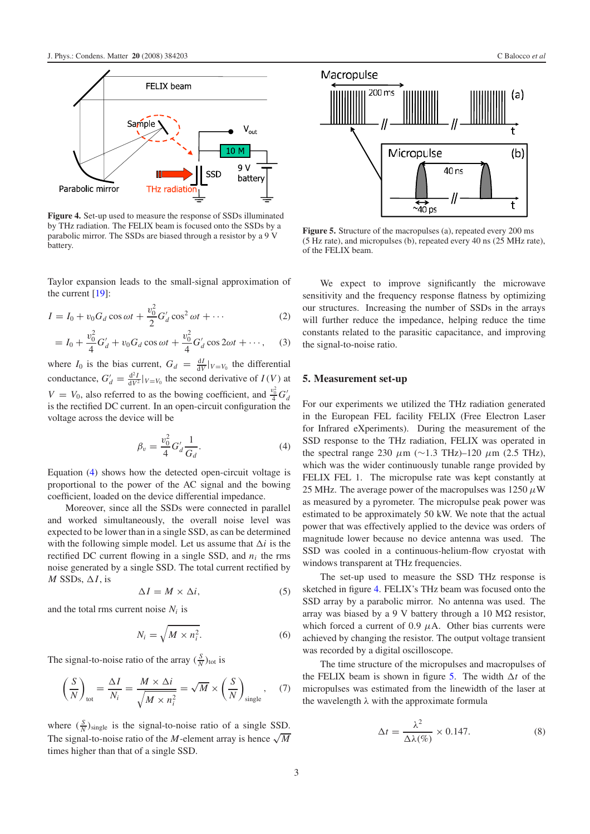<span id="page-2-1"></span>

**Figure 4.** Set-up used to measure the response of SSDs illuminated by THz radiation. The FELIX beam is focused onto the SSDs by a parabolic mirror. The SSDs are biased through a resistor by a 9 V battery.

Taylor expansion leads to the small-signal approximation of the current  $[19]$ :

$$
I = I_0 + v_0 G_d \cos \omega t + \frac{v_0^2}{2} G'_d \cos^2 \omega t + \cdots
$$
 (2)

$$
= I_0 + \frac{v_0^2}{4} G'_d + v_0 G_d \cos \omega t + \frac{v_0^2}{4} G'_d \cos 2\omega t + \cdots, \quad (3)
$$

where  $I_0$  is the bias current,  $G_d = \frac{dI}{dV}|_{V=V_0}$  the differential conductance,  $G'_d = \frac{d^2 I}{dV^2}|_{V=V_0}$  the second derivative of  $I(V)$  at  $V = V_0$ , also referred to as the bowing coefficient, and  $\frac{v_0^2}{4}G_d$ is the rectified DC current. In an open-circuit configuration the voltage across the device will be

<span id="page-2-0"></span>
$$
\beta_v = \frac{v_0^2}{4} G'_d \frac{1}{G_d}.
$$
\n(4)

Equation [\(4\)](#page-2-0) shows how the detected open-circuit voltage is proportional to the power of the AC signal and the bowing coefficient, loaded on the device differential impedance.

Moreover, since all the SSDs were connected in parallel and worked simultaneously, the overall noise level was expected to be lower than in a single SSD, as can be determined with the following simple model. Let us assume that  $\Delta i$  is the rectified DC current flowing in a single SSD, and *ni* the rms noise generated by a single SSD. The total current rectified by *M* SSDs,  $\Delta I$ , is

$$
\Delta I = M \times \Delta i,\tag{5}
$$

and the total rms current noise  $N_i$  is

$$
N_i = \sqrt{M \times n_i^2}.
$$
 (6)

The signal-to-noise ratio of the array  $(\frac{S}{N})_{\text{tot}}$  is

$$
\left(\frac{S}{N}\right)_{\text{tot}} = \frac{\Delta I}{N_i} = \frac{M \times \Delta i}{\sqrt{M \times n_i^2}} = \sqrt{M} \times \left(\frac{S}{N}\right)_{\text{single}},\tag{7}
$$

where  $(\frac{S}{N})_{\text{single}}$  is the signal-to-noise ratio of a single SSD. The signal-to-noise ratio of the *M*-element array is hence  $\sqrt{M}$ times higher than that of a single SSD.

<span id="page-2-2"></span>

**Figure 5.** Structure of the macropulses (a), repeated every 200 ms (5 Hz rate), and micropulses (b), repeated every 40 ns (25 MHz rate), of the FELIX beam.

We expect to improve significantly the microwave sensitivity and the frequency response flatness by optimizing our structures. Increasing the number of SSDs in the arrays will further reduce the impedance, helping reduce the time constants related to the parasitic capacitance, and improving the signal-to-noise ratio.

# **5. Measurement set-up**

For our experiments we utilized the THz radiation generated in the European FEL facility FELIX (Free Electron Laser for Infrared eXperiments). During the measurement of the SSD response to the THz radiation, FELIX was operated in the spectral range 230  $\mu$ m (∼1.3 THz)–120  $\mu$ m (2.5 THz), which was the wider continuously tunable range provided by FELIX FEL 1. The micropulse rate was kept constantly at 25 MHz. The average power of the macropulses was 1250  $\mu$ W as measured by a pyrometer. The micropulse peak power was estimated to be approximately 50 kW. We note that the actual power that was effectively applied to the device was orders of magnitude lower because no device antenna was used. The SSD was cooled in a continuous-helium-flow cryostat with windows transparent at THz frequencies.

The set-up used to measure the SSD THz response is sketched in figure [4.](#page-2-1) FELIX's THz beam was focused onto the SSD array by a parabolic mirror. No antenna was used. The array was biased by a 9 V battery through a 10 M $\Omega$  resistor, which forced a current of 0.9  $\mu$ A. Other bias currents were achieved by changing the resistor. The output voltage transient was recorded by a digital oscilloscope.

The time structure of the micropulses and macropulses of the FELIX beam is shown in figure [5.](#page-2-2) The width  $\Delta t$  of the micropulses was estimated from the linewidth of the laser at the wavelength  $\lambda$  with the approximate formula

$$
\Delta t = \frac{\lambda^2}{\Delta\lambda(\%)} \times 0.147. \tag{8}
$$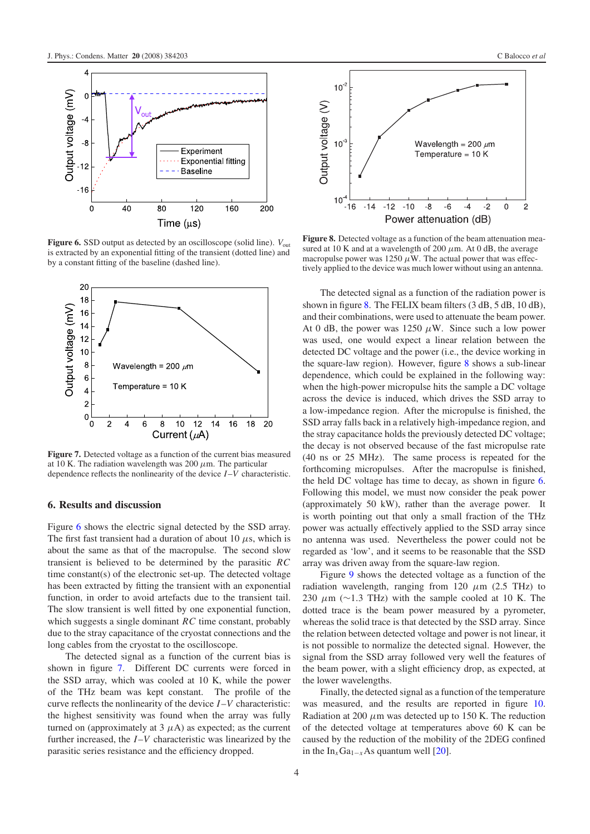<span id="page-3-0"></span>

<span id="page-3-1"></span>**Figure 6.** SSD output as detected by an oscilloscope (solid line).  $V_{\text{out}}$ is extracted by an exponential fitting of the transient (dotted line) and by a constant fitting of the baseline (dashed line).



**Figure 7.** Detected voltage as a function of the current bias measured at 10 K. The radiation wavelength was 200  $\mu$ m. The particular dependence reflects the nonlinearity of the device *I*–*V* characteristic.

## **6. Results and discussion**

Figure [6](#page-3-0) shows the electric signal detected by the SSD array. The first fast transient had a duration of about 10  $\mu$ s, which is about the same as that of the macropulse. The second slow transient is believed to be determined by the parasitic *RC* time constant(s) of the electronic set-up. The detected voltage has been extracted by fitting the transient with an exponential function, in order to avoid artefacts due to the transient tail. The slow transient is well fitted by one exponential function, which suggests a single dominant *RC* time constant, probably due to the stray capacitance of the cryostat connections and the long cables from the cryostat to the oscilloscope.

The detected signal as a function of the current bias is shown in figure [7.](#page-3-1) Different DC currents were forced in the SSD array, which was cooled at 10 K, while the power of the THz beam was kept constant. The profile of the curve reflects the nonlinearity of the device *I* –*V* characteristic: the highest sensitivity was found when the array was fully turned on (approximately at  $3 \mu$ A) as expected; as the current further increased, the *I* –*V* characteristic was linearized by the parasitic series resistance and the efficiency dropped.

<span id="page-3-2"></span>

**Figure 8.** Detected voltage as a function of the beam attenuation measured at 10 K and at a wavelength of 200  $\mu$ m. At 0 dB, the average macropulse power was 1250  $\mu$ W. The actual power that was effectively applied to the device was much lower without using an antenna.

The detected signal as a function of the radiation power is shown in figure [8.](#page-3-2) The FELIX beam filters (3 dB, 5 dB, 10 dB), and their combinations, were used to attenuate the beam power. At 0 dB, the power was 1250  $\mu$ W. Since such a low power was used, one would expect a linear relation between the detected DC voltage and the power (i.e., the device working in the square-law region). However, figure  $8$  shows a sub-linear dependence, which could be explained in the following way: when the high-power micropulse hits the sample a DC voltage across the device is induced, which drives the SSD array to a low-impedance region. After the micropulse is finished, the SSD array falls back in a relatively high-impedance region, and the stray capacitance holds the previously detected DC voltage; the decay is not observed because of the fast micropulse rate (40 ns or 25 MHz). The same process is repeated for the forthcoming micropulses. After the macropulse is finished, the held DC voltage has time to decay, as shown in figure [6.](#page-3-0) Following this model, we must now consider the peak power (approximately 50 kW), rather than the average power. It is worth pointing out that only a small fraction of the THz power was actually effectively applied to the SSD array since no antenna was used. Nevertheless the power could not be regarded as 'low', and it seems to be reasonable that the SSD array was driven away from the square-law region.

Figure [9](#page-4-12) shows the detected voltage as a function of the radiation wavelength, ranging from 120  $\mu$ m (2.5 THz) to 230  $\mu$ m (∼1.3 THz) with the sample cooled at 10 K. The dotted trace is the beam power measured by a pyrometer, whereas the solid trace is that detected by the SSD array. Since the relation between detected voltage and power is not linear, it is not possible to normalize the detected signal. However, the signal from the SSD array followed very well the features of the beam power, with a slight efficiency drop, as expected, at the lower wavelengths.

Finally, the detected signal as a function of the temperature was measured, and the results are reported in figure [10.](#page-4-13) Radiation at 200  $\mu$ m was detected up to 150 K. The reduction of the detected voltage at temperatures above 60 K can be caused by the reduction of the mobility of the 2DEG confined in the  $In_xGa_{1-x}As$  quantum well [\[20\]](#page-4-14).